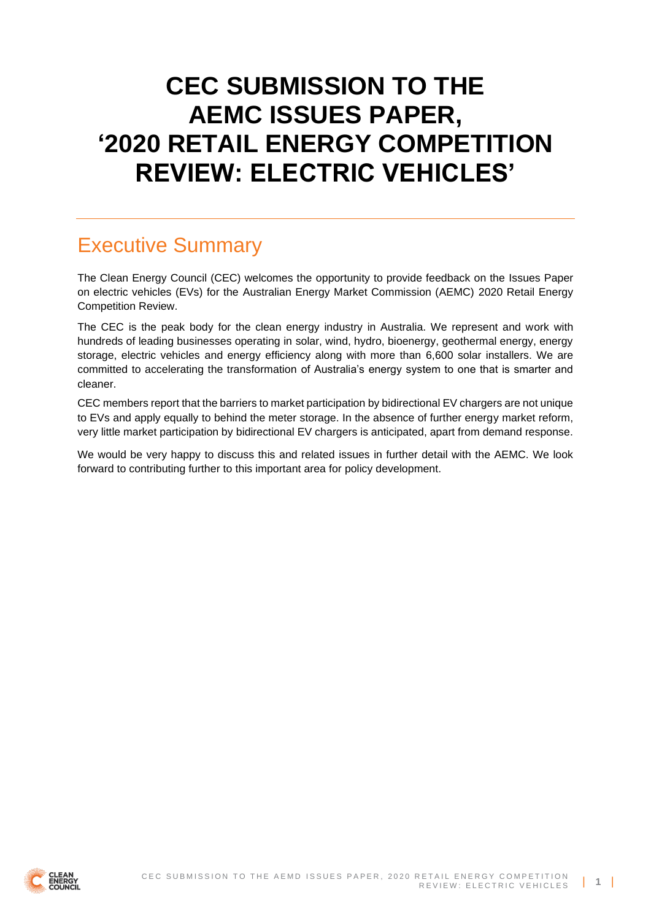# **CEC SUBMISSION TO THE AEMC ISSUES PAPER, '2020 RETAIL ENERGY COMPETITION REVIEW: ELECTRIC VEHICLES'**

# Executive Summary

The Clean Energy Council (CEC) welcomes the opportunity to provide feedback on the Issues Paper on electric vehicles (EVs) for the Australian Energy Market Commission (AEMC) 2020 Retail Energy Competition Review.

The CEC is the peak body for the clean energy industry in Australia. We represent and work with hundreds of leading businesses operating in solar, wind, hydro, bioenergy, geothermal energy, energy storage, electric vehicles and energy efficiency along with more than 6,600 solar installers. We are committed to accelerating the transformation of Australia's energy system to one that is smarter and cleaner.

CEC members report that the barriers to market participation by bidirectional EV chargers are not unique to EVs and apply equally to behind the meter storage. In the absence of further energy market reform, very little market participation by bidirectional EV chargers is anticipated, apart from demand response.

We would be very happy to discuss this and related issues in further detail with the AEMC. We look forward to contributing further to this important area for policy development.

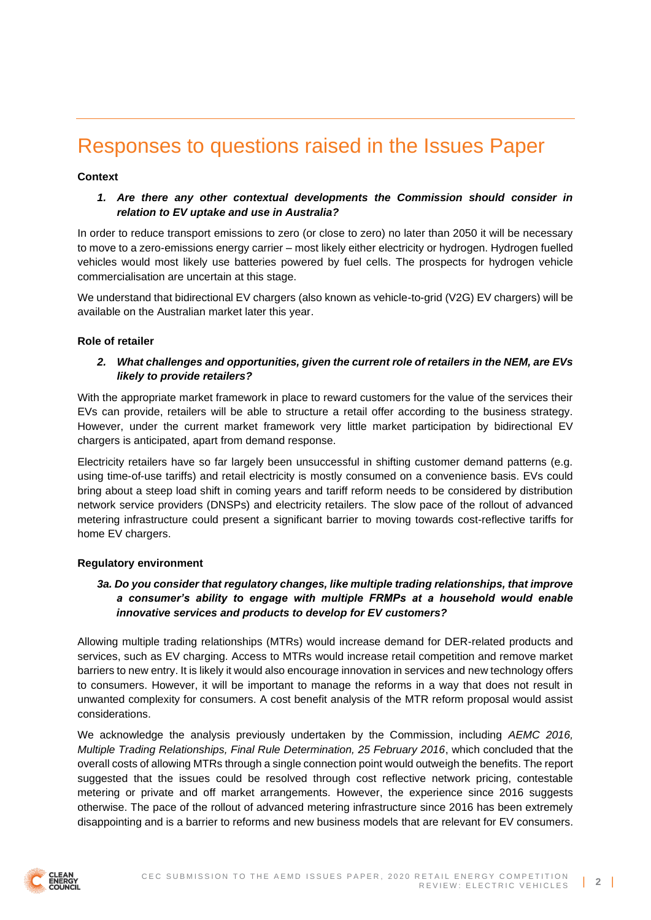# Responses to questions raised in the Issues Paper

#### **Context**

### *1. Are there any other contextual developments the Commission should consider in relation to EV uptake and use in Australia?*

In order to reduce transport emissions to zero (or close to zero) no later than 2050 it will be necessary to move to a zero-emissions energy carrier – most likely either electricity or hydrogen. Hydrogen fuelled vehicles would most likely use batteries powered by fuel cells. The prospects for hydrogen vehicle commercialisation are uncertain at this stage.

We understand that bidirectional EV chargers (also known as vehicle-to-grid (V2G) EV chargers) will be available on the Australian market later this year.

#### **Role of retailer**

### *2. What challenges and opportunities, given the current role of retailers in the NEM, are EVs likely to provide retailers?*

With the appropriate market framework in place to reward customers for the value of the services their EVs can provide, retailers will be able to structure a retail offer according to the business strategy. However, under the current market framework very little market participation by bidirectional EV chargers is anticipated, apart from demand response.

Electricity retailers have so far largely been unsuccessful in shifting customer demand patterns (e.g. using time-of-use tariffs) and retail electricity is mostly consumed on a convenience basis. EVs could bring about a steep load shift in coming years and tariff reform needs to be considered by distribution network service providers (DNSPs) and electricity retailers. The slow pace of the rollout of advanced metering infrastructure could present a significant barrier to moving towards cost-reflective tariffs for home EV chargers.

#### **Regulatory environment**

# *3a. Do you consider that regulatory changes, like multiple trading relationships, that improve a consumer's ability to engage with multiple FRMPs at a household would enable innovative services and products to develop for EV customers?*

Allowing multiple trading relationships (MTRs) would increase demand for DER-related products and services, such as EV charging. Access to MTRs would increase retail competition and remove market barriers to new entry. It is likely it would also encourage innovation in services and new technology offers to consumers. However, it will be important to manage the reforms in a way that does not result in unwanted complexity for consumers. A cost benefit analysis of the MTR reform proposal would assist considerations.

We acknowledge the analysis previously undertaken by the Commission, including *AEMC 2016, Multiple Trading Relationships, Final Rule Determination, 25 February 2016*, which concluded that the overall costs of allowing MTRs through a single connection point would outweigh the benefits. The report suggested that the issues could be resolved through cost reflective network pricing, contestable metering or private and off market arrangements. However, the experience since 2016 suggests otherwise. The pace of the rollout of advanced metering infrastructure since 2016 has been extremely disappointing and is a barrier to reforms and new business models that are relevant for EV consumers.